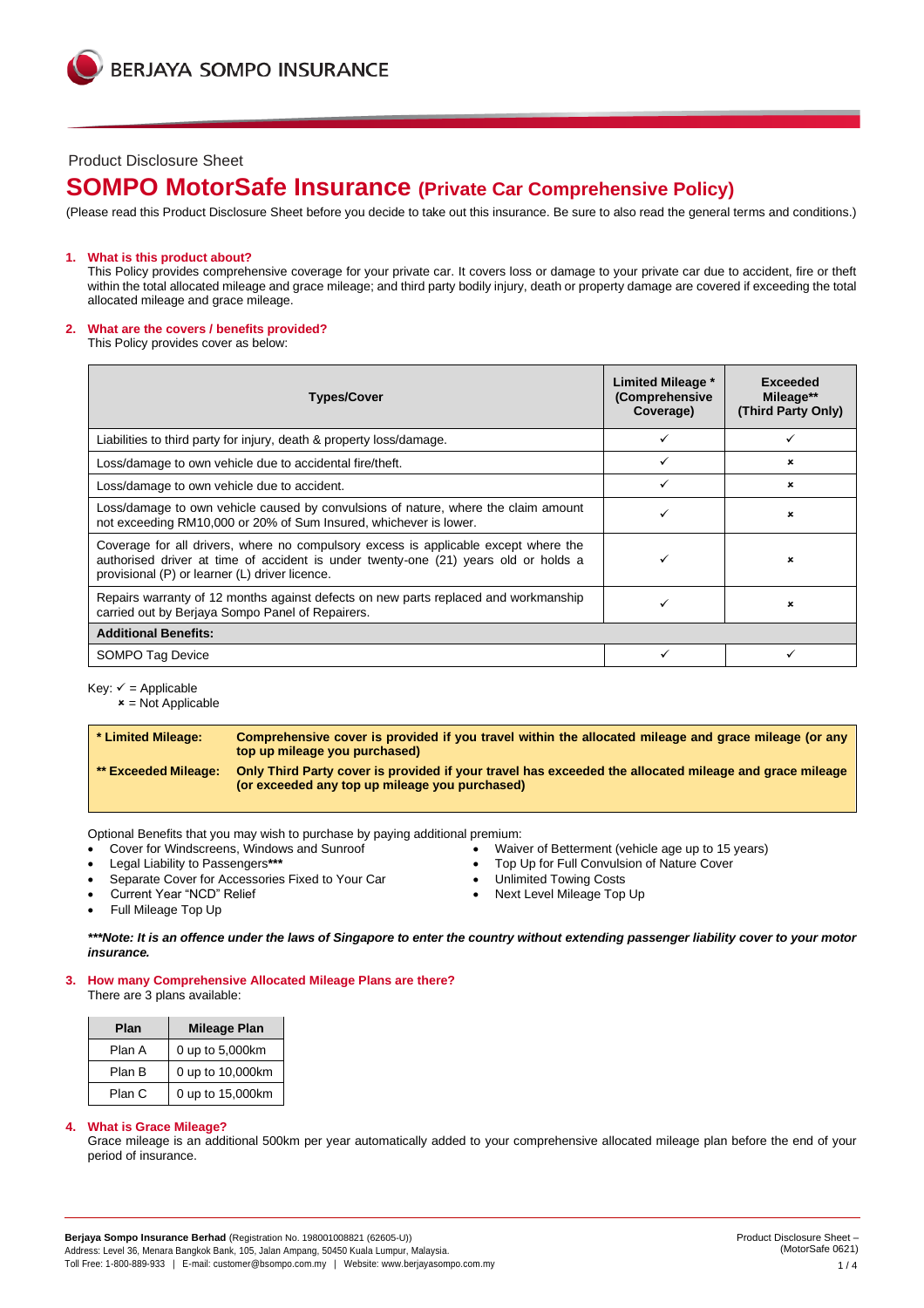### Product Disclosure Sheet

# **SOMPO MotorSafe Insurance (Private Car Comprehensive Policy)**

(Please read this Product Disclosure Sheet before you decide to take out this insurance. Be sure to also read the general terms and conditions.)

#### **1. What is this product about?**

This Policy provides comprehensive coverage for your private car. It covers loss or damage to your private car due to accident, fire or theft within the total allocated mileage and grace mileage; and third party bodily injury, death or property damage are covered if exceeding the total allocated mileage and grace mileage.

#### **2. What are the covers / benefits provided?**

This Policy provides cover as below:

| <b>Types/Cover</b>                                                                                                                                                                                                           | Limited Mileage *<br>(Comprehensive<br>Coverage) | Exceeded<br>Mileage**<br>(Third Party Only) |
|------------------------------------------------------------------------------------------------------------------------------------------------------------------------------------------------------------------------------|--------------------------------------------------|---------------------------------------------|
| Liabilities to third party for injury, death & property loss/damage.                                                                                                                                                         |                                                  |                                             |
| Loss/damage to own vehicle due to accidental fire/theft.                                                                                                                                                                     |                                                  | ×                                           |
| Loss/damage to own vehicle due to accident.                                                                                                                                                                                  |                                                  | ×                                           |
| Loss/damage to own vehicle caused by convulsions of nature, where the claim amount<br>not exceeding RM10,000 or 20% of Sum Insured, whichever is lower.                                                                      |                                                  | ×                                           |
| Coverage for all drivers, where no compulsory excess is applicable except where the<br>authorised driver at time of accident is under twenty-one (21) years old or holds a<br>provisional (P) or learner (L) driver licence. |                                                  | ×                                           |
| Repairs warranty of 12 months against defects on new parts replaced and workmanship<br>carried out by Berjaya Sompo Panel of Repairers.                                                                                      |                                                  | ×                                           |
| <b>Additional Benefits:</b>                                                                                                                                                                                                  |                                                  |                                             |
| SOMPO Tag Device                                                                                                                                                                                                             |                                                  |                                             |

Key:  $\checkmark$  = Applicable

 $x = Not$  Applicable

**\* Limited Mileage: Comprehensive cover is provided if you travel within the allocated mileage and grace mileage (or any top up mileage you purchased) \*\* Exceeded Mileage: Only Third Party cover is provided if your travel has exceeded the allocated mileage and grace mileage (or exceeded any top up mileage you purchased)**

Optional Benefits that you may wish to purchase by paying additional premium:

- 
- 
- Separate Cover for Accessories Fixed to Your Car Unlimited Towing Costs
- Cover for Windscreens, Windows and Sunroof Valuel Cover for Betterment (vehicle age up to 15 years)<br>
Legal Liability to Passengers\*\*\*<br>
 Top Up for Full Convulsion of Nature Cover
	- Top Up for Full Convulsion of Nature Cover
	-
	- Next Level Mileage Top Up

• Full Mileage Top Up

*\*\*\*Note: It is an offence under the laws of Singapore to enter the country without extending passenger liability cover to your motor insurance.*

**3. How many Comprehensive Allocated Mileage Plans are there?** There are 3 plans available:

| Plan   | <b>Mileage Plan</b> |  |
|--------|---------------------|--|
| Plan A | 0 up to 5,000km     |  |
| Plan B | 0 up to 10,000km    |  |
| Plan C | 0 up to 15,000km    |  |

#### **4. What is Grace Mileage?**

Grace mileage is an additional 500km per year automatically added to your comprehensive allocated mileage plan before the end of your period of insurance.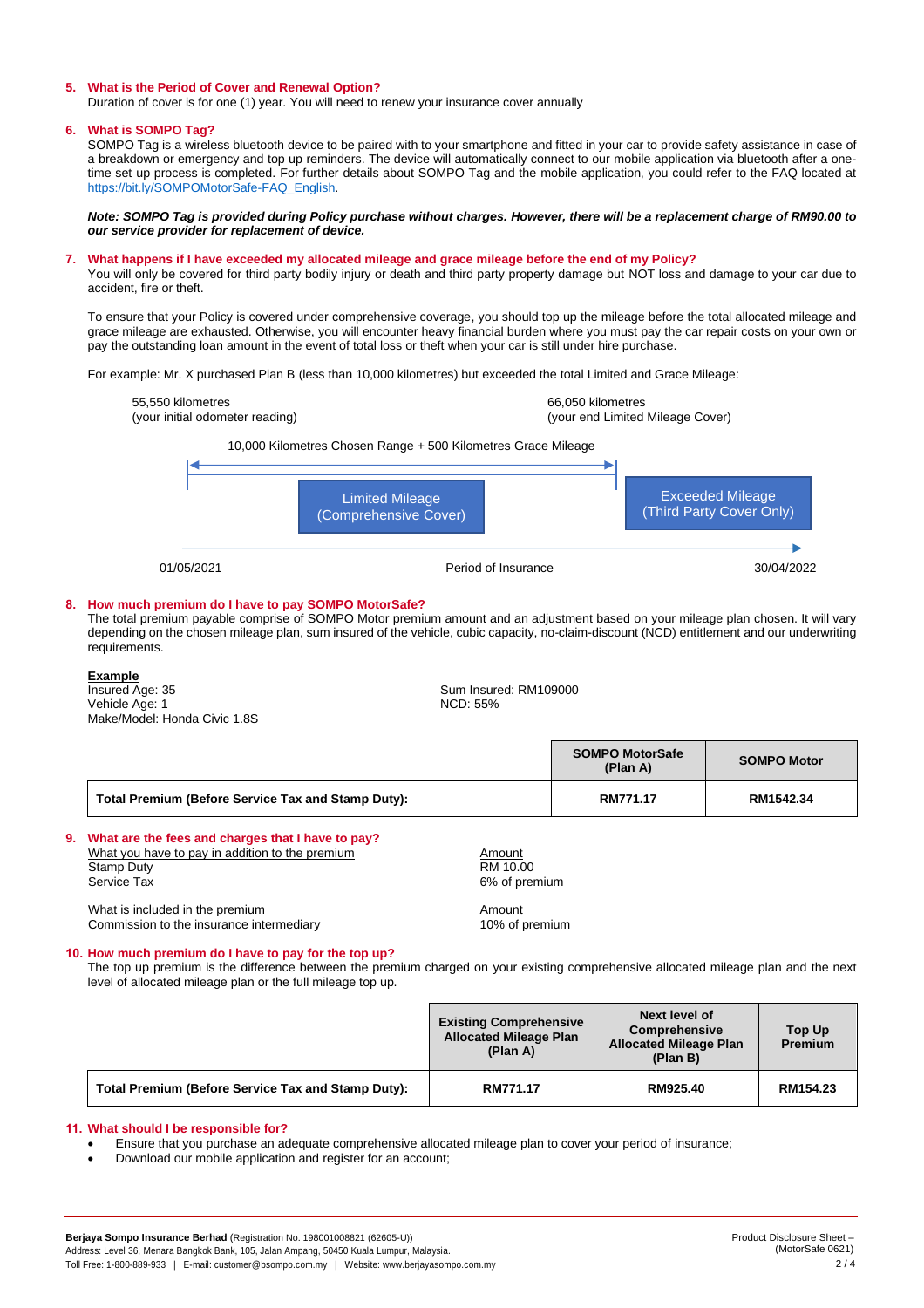#### **5. What is the Period of Cover and Renewal Option?**

Duration of cover is for one (1) year. You will need to renew your insurance cover annually

#### **6. What is SOMPO Tag?**

SOMPO Tag is a wireless bluetooth device to be paired with to your smartphone and fitted in your car to provide safety assistance in case of a breakdown or emergency and top up reminders. The device will automatically connect to our mobile application via bluetooth after a onetime set up process is completed. For further details about SOMPO Tag and the mobile application, you could refer to the FAQ located at [https://bit.ly/SOMPOMotorSafe-FAQ\\_English.](https://bit.ly/SOMPOMotorSafe-FAQ_English)

*Note: SOMPO Tag is provided during Policy purchase without charges. However, there will be a replacement charge of RM90.00 to our service provider for replacement of device.*

## **7. What happens if I have exceeded my allocated mileage and grace mileage before the end of my Policy?**

You will only be covered for third party bodily injury or death and third party property damage but NOT loss and damage to your car due to accident, fire or theft.

To ensure that your Policy is covered under comprehensive coverage, you should top up the mileage before the total allocated mileage and grace mileage are exhausted. Otherwise, you will encounter heavy financial burden where you must pay the car repair costs on your own or pay the outstanding loan amount in the event of total loss or theft when your car is still under hire purchase.

For example: Mr. X purchased Plan B (less than 10,000 kilometres) but exceeded the total Limited and Grace Mileage:



• Ensure that you purchase an adequate comprehensive allocated mileage plan to cover your period of insurance;

• Download our mobile application and register for an account;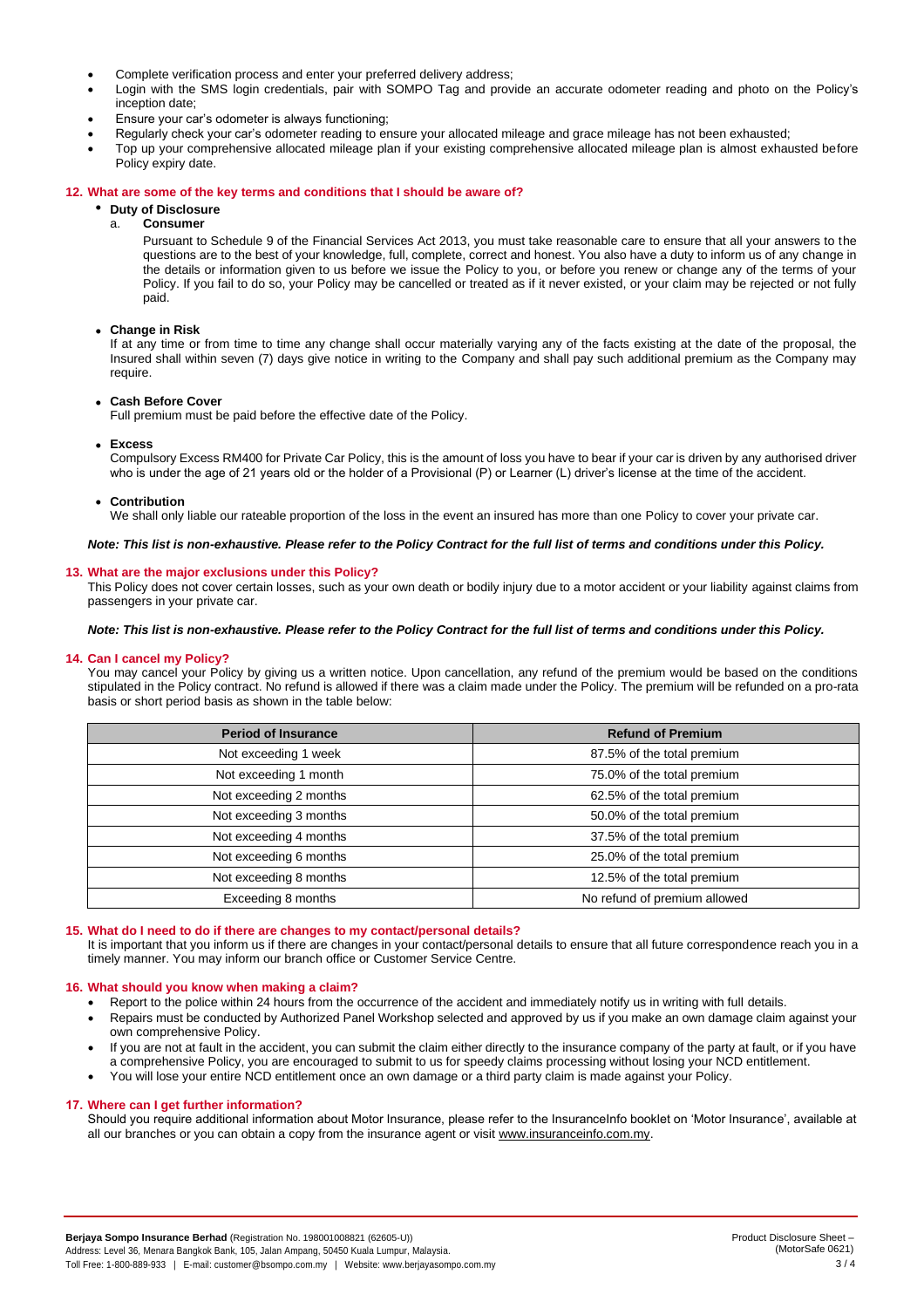- Complete verification process and enter your preferred delivery address;
- Login with the SMS login credentials, pair with SOMPO Tag and provide an accurate odometer reading and photo on the Policy's inception date;
- Ensure your car's odometer is always functioning;
- Regularly check your car's odometer reading to ensure your allocated mileage and grace mileage has not been exhausted;
- Top up your comprehensive allocated mileage plan if your existing comprehensive allocated mileage plan is almost exhausted before Policy expiry date.

#### **12. What are some of the key terms and conditions that I should be aware of?**

# • **Duty of Disclosure**

a. **Consumer**

Pursuant to Schedule 9 of the Financial Services Act 2013, you must take reasonable care to ensure that all your answers to the questions are to the best of your knowledge, full, complete, correct and honest. You also have a duty to inform us of any change in the details or information given to us before we issue the Policy to you, or before you renew or change any of the terms of your Policy. If you fail to do so, your Policy may be cancelled or treated as if it never existed, or your claim may be rejected or not fully paid.

• **Change in Risk**

If at any time or from time to time any change shall occur materially varying any of the facts existing at the date of the proposal, the Insured shall within seven (7) days give notice in writing to the Company and shall pay such additional premium as the Company may require.

#### • **Cash Before Cover**

Full premium must be paid before the effective date of the Policy.

• **Excess**

Compulsory Excess RM400 for Private Car Policy, this is the amount of loss you have to bear if your car is driven by any authorised driver who is under the age of 21 years old or the holder of a Provisional (P) or Learner (L) driver's license at the time of the accident.

#### • **Contribution**

We shall only liable our rateable proportion of the loss in the event an insured has more than one Policy to cover your private car.

*Note: This list is non-exhaustive. Please refer to the Policy Contract for the full list of terms and conditions under this Policy.*

#### **13. What are the major exclusions under this Policy?**

This Policy does not cover certain losses, such as your own death or bodily injury due to a motor accident or your liability against claims from passengers in your private car.

#### *Note: This list is non-exhaustive. Please refer to the Policy Contract for the full list of terms and conditions under this Policy.*

#### **14. Can I cancel my Policy?**

You may cancel your Policy by giving us a written notice. Upon cancellation, any refund of the premium would be based on the conditions stipulated in the Policy contract. No refund is allowed if there was a claim made under the Policy. The premium will be refunded on a pro-rata basis or short period basis as shown in the table below:

| <b>Period of Insurance</b> | <b>Refund of Premium</b>     |
|----------------------------|------------------------------|
| Not exceeding 1 week       | 87.5% of the total premium   |
| Not exceeding 1 month      | 75.0% of the total premium   |
| Not exceeding 2 months     | 62.5% of the total premium   |
| Not exceeding 3 months     | 50.0% of the total premium   |
| Not exceeding 4 months     | 37.5% of the total premium   |
| Not exceeding 6 months     | 25.0% of the total premium   |
| Not exceeding 8 months     | 12.5% of the total premium   |
| Exceeding 8 months         | No refund of premium allowed |

#### **15. What do I need to do if there are changes to my contact/personal details?**

It is important that you inform us if there are changes in your contact/personal details to ensure that all future correspondence reach you in a timely manner. You may inform our branch office or Customer Service Centre.

#### **16. What should you know when making a claim?**

- Report to the police within 24 hours from the occurrence of the accident and immediately notify us in writing with full details.
- Repairs must be conducted by Authorized Panel Workshop selected and approved by us if you make an own damage claim against your own comprehensive Policy.
- If you are not at fault in the accident, you can submit the claim either directly to the insurance company of the party at fault, or if you have a comprehensive Policy, you are encouraged to submit to us for speedy claims processing without losing your NCD entitlement.
- You will lose your entire NCD entitlement once an own damage or a third party claim is made against your Policy.

#### **17. Where can I get further information?**

Should you require additional information about Motor Insurance, please refer to the InsuranceInfo booklet on 'Motor Insurance', available at all our branches or you can obtain a copy from the insurance agent or visit [www.insuranceinfo.com.my.](http://www.insuranceinfo.com.my/)